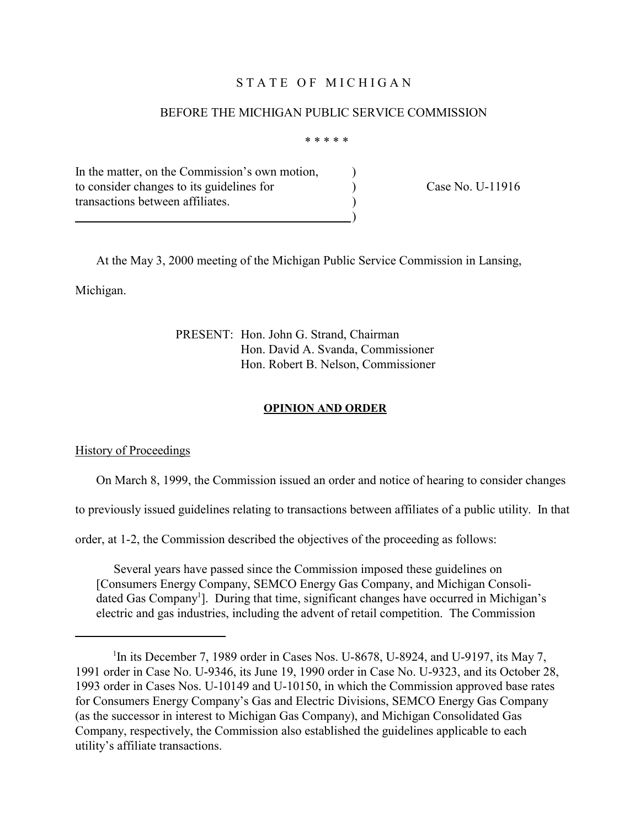# STATE OF MICHIGAN

### BEFORE THE MICHIGAN PUBLIC SERVICE COMMISSION

\* \* \* \* \*

In the matter, on the Commission's own motion, to consider changes to its guidelines for <br>
(ase No. U-11916) transactions between affiliates. )

 $\qquad \qquad \qquad \qquad \qquad$ 

At the May 3, 2000 meeting of the Michigan Public Service Commission in Lansing,

Michigan.

PRESENT: Hon. John G. Strand, Chairman Hon. David A. Svanda, Commissioner Hon. Robert B. Nelson, Commissioner

#### **OPINION AND ORDER**

History of Proceedings

On March 8, 1999, the Commission issued an order and notice of hearing to consider changes

to previously issued guidelines relating to transactions between affiliates of a public utility. In that

order, at 1-2, the Commission described the objectives of the proceeding as follows:

Several years have passed since the Commission imposed these guidelines on [Consumers Energy Company, SEMCO Energy Gas Company, and Michigan Consolidated Gas Company<sup>1</sup>]. During that time, significant changes have occurred in Michigan's electric and gas industries, including the advent of retail competition. The Commission

<sup>&</sup>lt;sup>1</sup>In its December 7, 1989 order in Cases Nos. U-8678, U-8924, and U-9197, its May 7, 1991 order in Case No. U-9346, its June 19, 1990 order in Case No. U-9323, and its October 28, 1993 order in Cases Nos. U-10149 and U-10150, in which the Commission approved base rates for Consumers Energy Company's Gas and Electric Divisions, SEMCO Energy Gas Company (as the successor in interest to Michigan Gas Company), and Michigan Consolidated Gas Company, respectively, the Commission also established the guidelines applicable to each utility's affiliate transactions.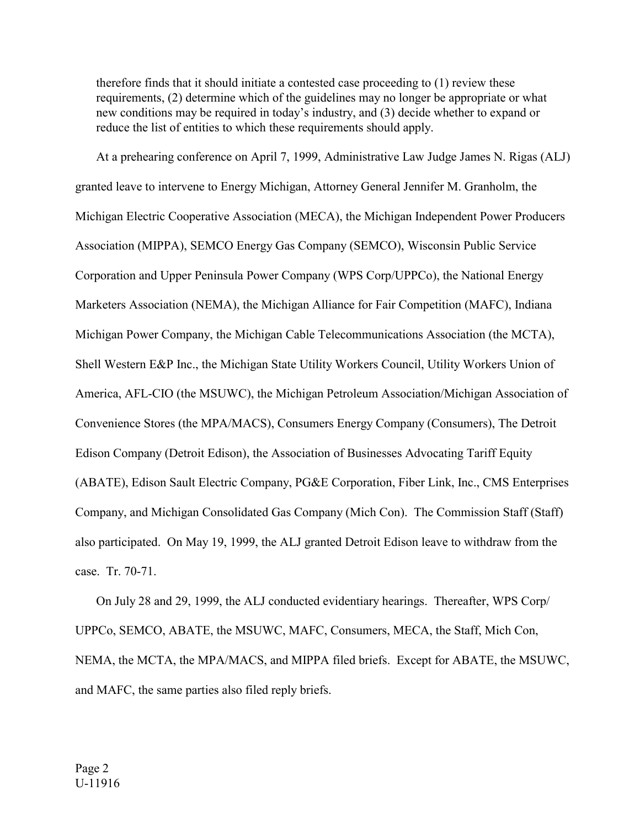therefore finds that it should initiate a contested case proceeding to (1) review these requirements, (2) determine which of the guidelines may no longer be appropriate or what new conditions may be required in today's industry, and (3) decide whether to expand or reduce the list of entities to which these requirements should apply.

At a prehearing conference on April 7, 1999, Administrative Law Judge James N. Rigas (ALJ) granted leave to intervene to Energy Michigan, Attorney General Jennifer M. Granholm, the Michigan Electric Cooperative Association (MECA), the Michigan Independent Power Producers Association (MIPPA), SEMCO Energy Gas Company (SEMCO), Wisconsin Public Service Corporation and Upper Peninsula Power Company (WPS Corp/UPPCo), the National Energy Marketers Association (NEMA), the Michigan Alliance for Fair Competition (MAFC), Indiana Michigan Power Company, the Michigan Cable Telecommunications Association (the MCTA), Shell Western E&P Inc., the Michigan State Utility Workers Council, Utility Workers Union of America, AFL-CIO (the MSUWC), the Michigan Petroleum Association/Michigan Association of Convenience Stores (the MPA/MACS), Consumers Energy Company (Consumers), The Detroit Edison Company (Detroit Edison), the Association of Businesses Advocating Tariff Equity (ABATE), Edison Sault Electric Company, PG&E Corporation, Fiber Link, Inc., CMS Enterprises Company, and Michigan Consolidated Gas Company (Mich Con). The Commission Staff (Staff) also participated. On May 19, 1999, the ALJ granted Detroit Edison leave to withdraw from the case. Tr. 70-71.

On July 28 and 29, 1999, the ALJ conducted evidentiary hearings. Thereafter, WPS Corp/ UPPCo, SEMCO, ABATE, the MSUWC, MAFC, Consumers, MECA, the Staff, Mich Con, NEMA, the MCTA, the MPA/MACS, and MIPPA filed briefs. Except for ABATE, the MSUWC, and MAFC, the same parties also filed reply briefs.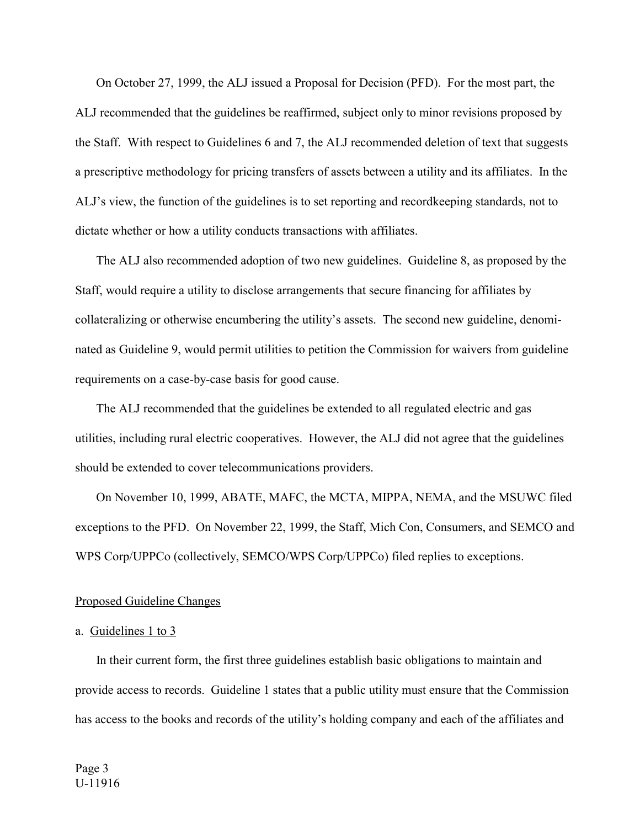On October 27, 1999, the ALJ issued a Proposal for Decision (PFD). For the most part, the ALJ recommended that the guidelines be reaffirmed, subject only to minor revisions proposed by the Staff. With respect to Guidelines 6 and 7, the ALJ recommended deletion of text that suggests a prescriptive methodology for pricing transfers of assets between a utility and its affiliates. In the ALJ's view, the function of the guidelines is to set reporting and recordkeeping standards, not to dictate whether or how a utility conducts transactions with affiliates.

The ALJ also recommended adoption of two new guidelines. Guideline 8, as proposed by the Staff, would require a utility to disclose arrangements that secure financing for affiliates by collateralizing or otherwise encumbering the utility's assets. The second new guideline, denominated as Guideline 9, would permit utilities to petition the Commission for waivers from guideline requirements on a case-by-case basis for good cause.

The ALJ recommended that the guidelines be extended to all regulated electric and gas utilities, including rural electric cooperatives. However, the ALJ did not agree that the guidelines should be extended to cover telecommunications providers.

On November 10, 1999, ABATE, MAFC, the MCTA, MIPPA, NEMA, and the MSUWC filed exceptions to the PFD. On November 22, 1999, the Staff, Mich Con, Consumers, and SEMCO and WPS Corp/UPPCo (collectively, SEMCO/WPS Corp/UPPCo) filed replies to exceptions.

#### Proposed Guideline Changes

## a. Guidelines 1 to 3

In their current form, the first three guidelines establish basic obligations to maintain and provide access to records. Guideline 1 states that a public utility must ensure that the Commission has access to the books and records of the utility's holding company and each of the affiliates and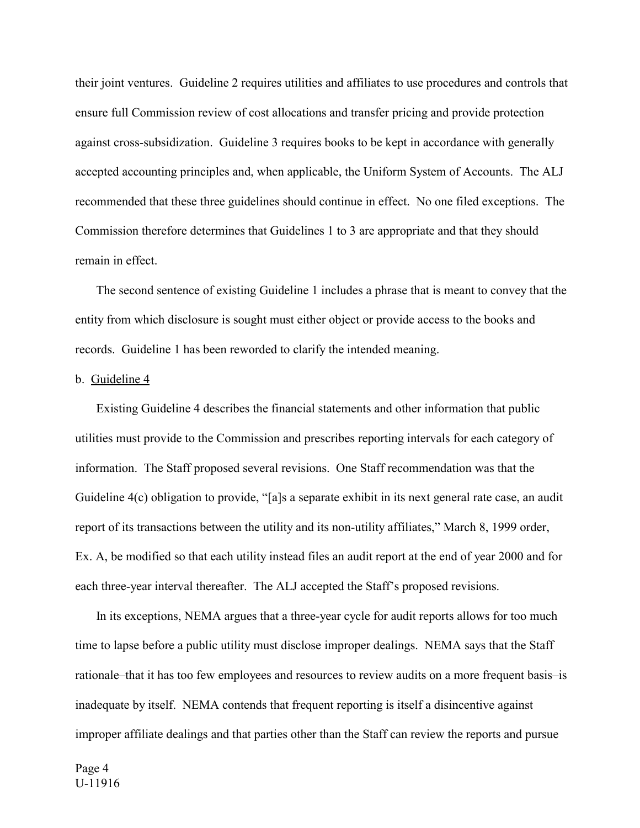their joint ventures. Guideline 2 requires utilities and affiliates to use procedures and controls that ensure full Commission review of cost allocations and transfer pricing and provide protection against cross-subsidization. Guideline 3 requires books to be kept in accordance with generally accepted accounting principles and, when applicable, the Uniform System of Accounts. The ALJ recommended that these three guidelines should continue in effect. No one filed exceptions. The Commission therefore determines that Guidelines 1 to 3 are appropriate and that they should remain in effect.

The second sentence of existing Guideline 1 includes a phrase that is meant to convey that the entity from which disclosure is sought must either object or provide access to the books and records. Guideline 1 has been reworded to clarify the intended meaning.

## b. Guideline 4

Existing Guideline 4 describes the financial statements and other information that public utilities must provide to the Commission and prescribes reporting intervals for each category of information. The Staff proposed several revisions. One Staff recommendation was that the Guideline 4(c) obligation to provide, "[a]s a separate exhibit in its next general rate case, an audit report of its transactions between the utility and its non-utility affiliates," March 8, 1999 order, Ex. A, be modified so that each utility instead files an audit report at the end of year 2000 and for each three-year interval thereafter. The ALJ accepted the Staff's proposed revisions.

In its exceptions, NEMA argues that a three-year cycle for audit reports allows for too much time to lapse before a public utility must disclose improper dealings. NEMA says that the Staff rationale–that it has too few employees and resources to review audits on a more frequent basis–is inadequate by itself. NEMA contends that frequent reporting is itself a disincentive against improper affiliate dealings and that parties other than the Staff can review the reports and pursue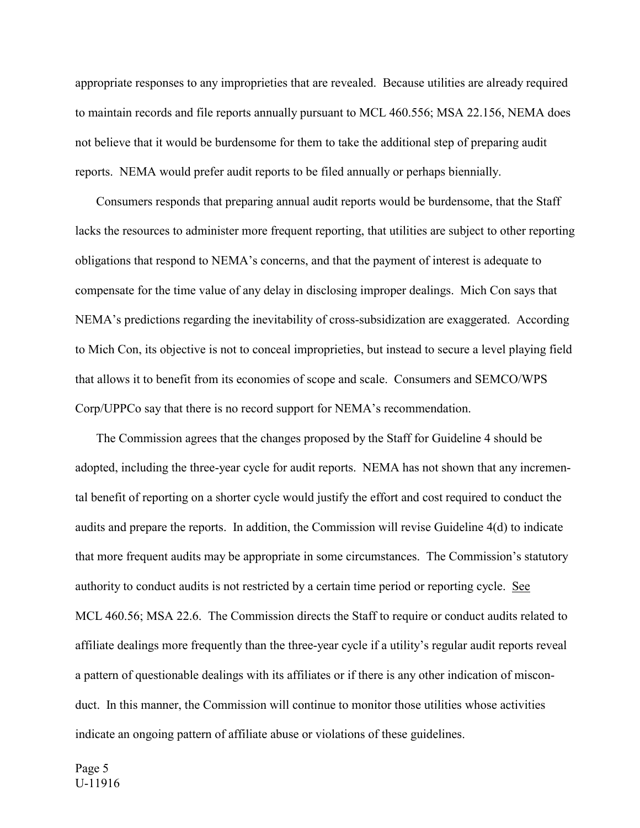appropriate responses to any improprieties that are revealed. Because utilities are already required to maintain records and file reports annually pursuant to MCL 460.556; MSA 22.156, NEMA does not believe that it would be burdensome for them to take the additional step of preparing audit reports. NEMA would prefer audit reports to be filed annually or perhaps biennially.

Consumers responds that preparing annual audit reports would be burdensome, that the Staff lacks the resources to administer more frequent reporting, that utilities are subject to other reporting obligations that respond to NEMA's concerns, and that the payment of interest is adequate to compensate for the time value of any delay in disclosing improper dealings. Mich Con says that NEMA's predictions regarding the inevitability of cross-subsidization are exaggerated. According to Mich Con, its objective is not to conceal improprieties, but instead to secure a level playing field that allows it to benefit from its economies of scope and scale. Consumers and SEMCO/WPS Corp/UPPCo say that there is no record support for NEMA's recommendation.

The Commission agrees that the changes proposed by the Staff for Guideline 4 should be adopted, including the three-year cycle for audit reports. NEMA has not shown that any incremental benefit of reporting on a shorter cycle would justify the effort and cost required to conduct the audits and prepare the reports. In addition, the Commission will revise Guideline  $4(d)$  to indicate that more frequent audits may be appropriate in some circumstances. The Commission's statutory authority to conduct audits is not restricted by a certain time period or reporting cycle. See MCL 460.56; MSA 22.6. The Commission directs the Staff to require or conduct audits related to affiliate dealings more frequently than the three-year cycle if a utility's regular audit reports reveal a pattern of questionable dealings with its affiliates or if there is any other indication of misconduct. In this manner, the Commission will continue to monitor those utilities whose activities indicate an ongoing pattern of affiliate abuse or violations of these guidelines.

Page 5 U-11916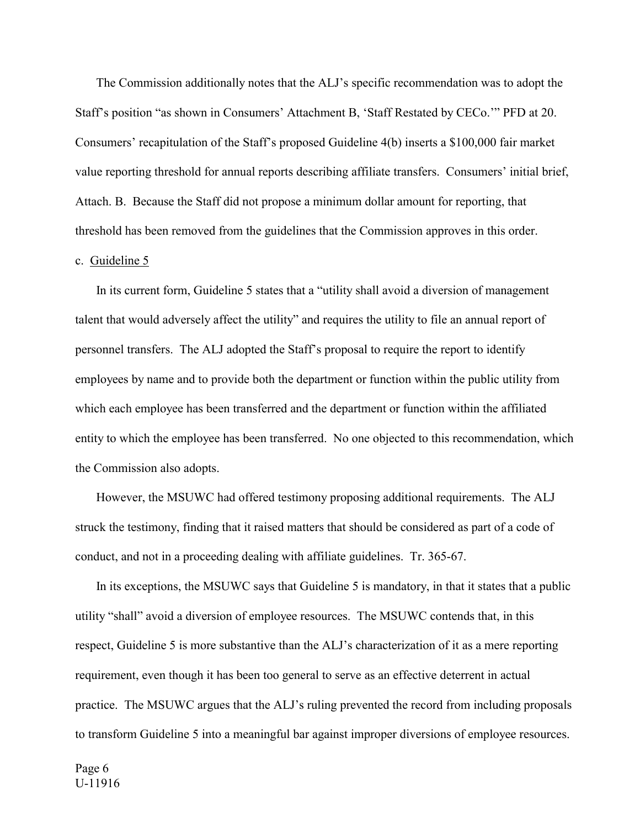The Commission additionally notes that the ALJ's specific recommendation was to adopt the Staff's position "as shown in Consumers' Attachment B, 'Staff Restated by CECo.'" PFD at 20. Consumers' recapitulation of the Staff's proposed Guideline 4(b) inserts a \$100,000 fair market value reporting threshold for annual reports describing affiliate transfers. Consumers' initial brief, Attach. B. Because the Staff did not propose a minimum dollar amount for reporting, that threshold has been removed from the guidelines that the Commission approves in this order.

# c. Guideline 5

In its current form, Guideline 5 states that a "utility shall avoid a diversion of management talent that would adversely affect the utility" and requires the utility to file an annual report of personnel transfers. The ALJ adopted the Staff's proposal to require the report to identify employees by name and to provide both the department or function within the public utility from which each employee has been transferred and the department or function within the affiliated entity to which the employee has been transferred. No one objected to this recommendation, which the Commission also adopts.

However, the MSUWC had offered testimony proposing additional requirements. The ALJ struck the testimony, finding that it raised matters that should be considered as part of a code of conduct, and not in a proceeding dealing with affiliate guidelines. Tr. 365-67.

In its exceptions, the MSUWC says that Guideline 5 is mandatory, in that it states that a public utility "shall" avoid a diversion of employee resources. The MSUWC contends that, in this respect, Guideline 5 is more substantive than the ALJ's characterization of it as a mere reporting requirement, even though it has been too general to serve as an effective deterrent in actual practice. The MSUWC argues that the ALJ's ruling prevented the record from including proposals to transform Guideline 5 into a meaningful bar against improper diversions of employee resources.

Page 6 U-11916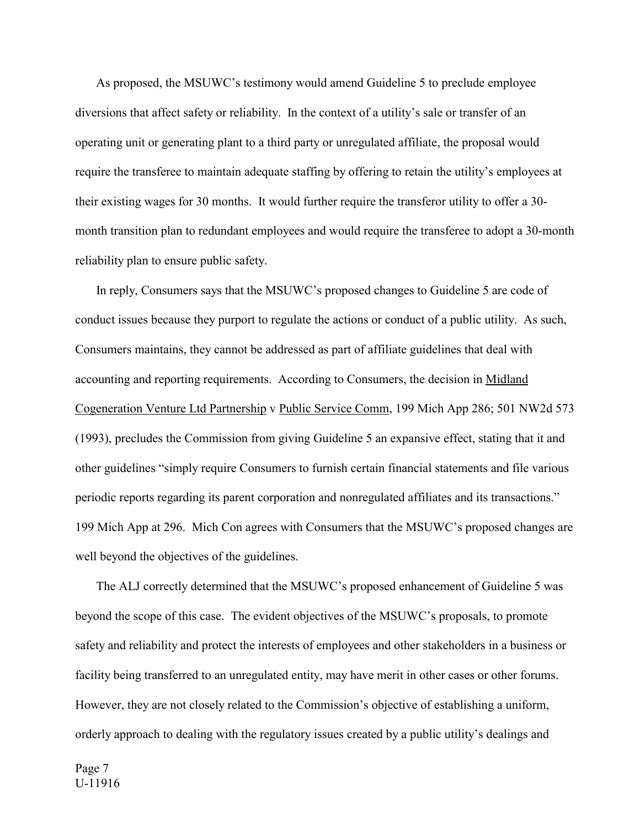As proposed, the MSUWC's testimony would amend Guideline 5 to preclude employee diversions that affect safety or reliability. In the context of a utility's sale or transfer of an operating unit or generating plant to a third party or unregulated affiliate, the proposal would require the transferee to maintain adequate staffing by offering to retain the utility's employees at their existing wages for 30 months. It would further require the transferor utility to offer a 30 month transition plan to redundant employees and would require the transferee to adopt a 30-month reliability plan to ensure public safety.

In reply, Consumers says that the MSUWC's proposed changes to Guideline 5 are code of conduct issues because they purport to regulate the actions or conduct of a public utility. As such, Consumers maintains, they cannot be addressed as part of affiliate guidelines that deal with accounting and reporting requirements. According to Consumers, the decision in Midland Cogeneration Venture Ltd Partnership v Public Service Comm, 199 Mich App 286; 501 NW2d 573 (1993), precludes the Commission from giving Guideline 5 an expansive effect, stating that it and other guidelines "simply require Consumers to furnish certain financial statements and file various periodic reports regarding its parent corporation and nonregulated affiliates and its transactions." 199 Mich App at 296. Mich Con agrees with Consumers that the MSUWC's proposed changes are well beyond the objectives of the guidelines.

The ALJ correctly determined that the MSUWC's proposed enhancement of Guideline 5 was beyond the scope of this case. The evident objectives of the MSUWC's proposals, to promote safety and reliability and protect the interests of employees and other stakeholders in a business or facility being transferred to an unregulated entity, may have merit in other cases or other forums. However, they are not closely related to the Commission's objective of establishing a uniform, orderly approach to dealing with the regulatory issues created by a public utility's dealings and

Page 7 U-11916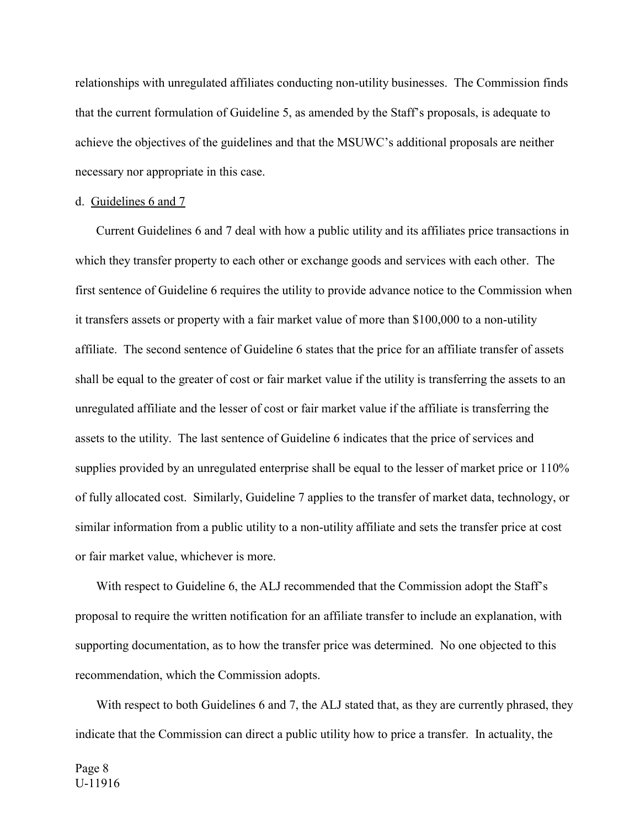relationships with unregulated affiliates conducting non-utility businesses. The Commission finds that the current formulation of Guideline 5, as amended by the Staff's proposals, is adequate to achieve the objectives of the guidelines and that the MSUWC's additional proposals are neither necessary nor appropriate in this case.

### d. Guidelines 6 and 7

Current Guidelines 6 and 7 deal with how a public utility and its affiliates price transactions in which they transfer property to each other or exchange goods and services with each other. The first sentence of Guideline 6 requires the utility to provide advance notice to the Commission when it transfers assets or property with a fair market value of more than \$100,000 to a non-utility affiliate. The second sentence of Guideline 6 states that the price for an affiliate transfer of assets shall be equal to the greater of cost or fair market value if the utility is transferring the assets to an unregulated affiliate and the lesser of cost or fair market value if the affiliate is transferring the assets to the utility. The last sentence of Guideline 6 indicates that the price of services and supplies provided by an unregulated enterprise shall be equal to the lesser of market price or 110% of fully allocated cost. Similarly, Guideline 7 applies to the transfer of market data, technology, or similar information from a public utility to a non-utility affiliate and sets the transfer price at cost or fair market value, whichever is more.

With respect to Guideline 6, the ALJ recommended that the Commission adopt the Staff's proposal to require the written notification for an affiliate transfer to include an explanation, with supporting documentation, as to how the transfer price was determined. No one objected to this recommendation, which the Commission adopts.

With respect to both Guidelines 6 and 7, the ALJ stated that, as they are currently phrased, they indicate that the Commission can direct a public utility how to price a transfer. In actuality, the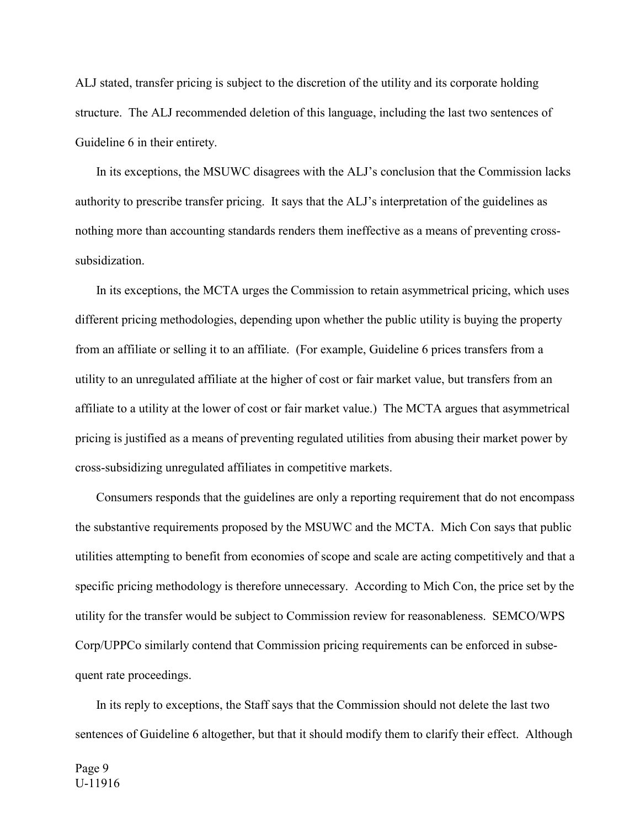ALJ stated, transfer pricing is subject to the discretion of the utility and its corporate holding structure. The ALJ recommended deletion of this language, including the last two sentences of Guideline 6 in their entirety.

In its exceptions, the MSUWC disagrees with the ALJ's conclusion that the Commission lacks authority to prescribe transfer pricing. It says that the ALJ's interpretation of the guidelines as nothing more than accounting standards renders them ineffective as a means of preventing crosssubsidization.

In its exceptions, the MCTA urges the Commission to retain asymmetrical pricing, which uses different pricing methodologies, depending upon whether the public utility is buying the property from an affiliate or selling it to an affiliate. (For example, Guideline 6 prices transfers from a utility to an unregulated affiliate at the higher of cost or fair market value, but transfers from an affiliate to a utility at the lower of cost or fair market value.) The MCTA argues that asymmetrical pricing is justified as a means of preventing regulated utilities from abusing their market power by cross-subsidizing unregulated affiliates in competitive markets.

Consumers responds that the guidelines are only a reporting requirement that do not encompass the substantive requirements proposed by the MSUWC and the MCTA. Mich Con says that public utilities attempting to benefit from economies of scope and scale are acting competitively and that a specific pricing methodology is therefore unnecessary. According to Mich Con, the price set by the utility for the transfer would be subject to Commission review for reasonableness. SEMCO/WPS Corp/UPPCo similarly contend that Commission pricing requirements can be enforced in subsequent rate proceedings.

In its reply to exceptions, the Staff says that the Commission should not delete the last two sentences of Guideline 6 altogether, but that it should modify them to clarify their effect. Although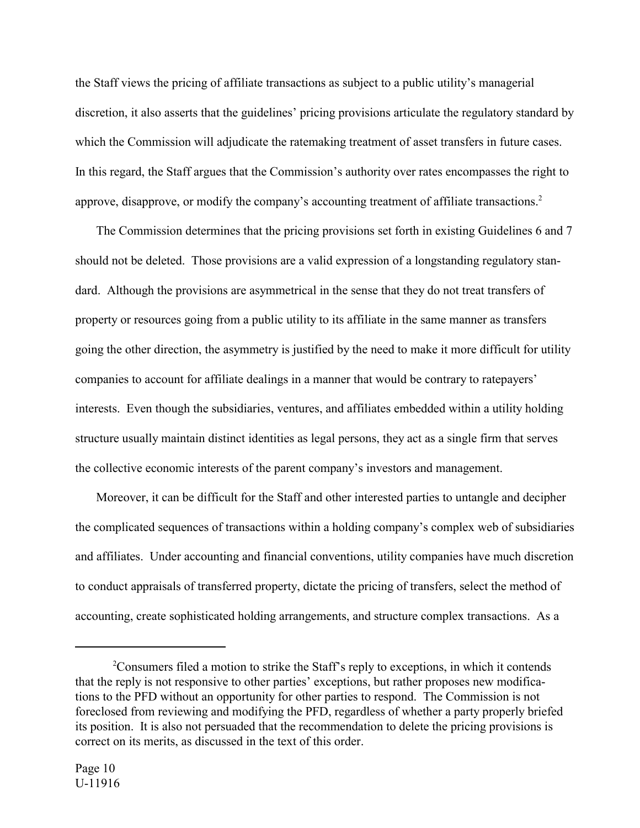the Staff views the pricing of affiliate transactions as subject to a public utility's managerial discretion, it also asserts that the guidelines' pricing provisions articulate the regulatory standard by which the Commission will adjudicate the ratemaking treatment of asset transfers in future cases. In this regard, the Staff argues that the Commission's authority over rates encompasses the right to approve, disapprove, or modify the company's accounting treatment of affiliate transactions.<sup>2</sup>

The Commission determines that the pricing provisions set forth in existing Guidelines 6 and 7 should not be deleted. Those provisions are a valid expression of a longstanding regulatory standard. Although the provisions are asymmetrical in the sense that they do not treat transfers of property or resources going from a public utility to its affiliate in the same manner as transfers going the other direction, the asymmetry is justified by the need to make it more difficult for utility companies to account for affiliate dealings in a manner that would be contrary to ratepayers' interests. Even though the subsidiaries, ventures, and affiliates embedded within a utility holding structure usually maintain distinct identities as legal persons, they act as a single firm that serves the collective economic interests of the parent company's investors and management.

Moreover, it can be difficult for the Staff and other interested parties to untangle and decipher the complicated sequences of transactions within a holding company's complex web of subsidiaries and affiliates. Under accounting and financial conventions, utility companies have much discretion to conduct appraisals of transferred property, dictate the pricing of transfers, select the method of accounting, create sophisticated holding arrangements, and structure complex transactions. As a

<sup>&</sup>lt;sup>2</sup>Consumers filed a motion to strike the Staff's reply to exceptions, in which it contends that the reply is not responsive to other parties' exceptions, but rather proposes new modifications to the PFD without an opportunity for other parties to respond. The Commission is not foreclosed from reviewing and modifying the PFD, regardless of whether a party properly briefed its position. It is also not persuaded that the recommendation to delete the pricing provisions is correct on its merits, as discussed in the text of this order.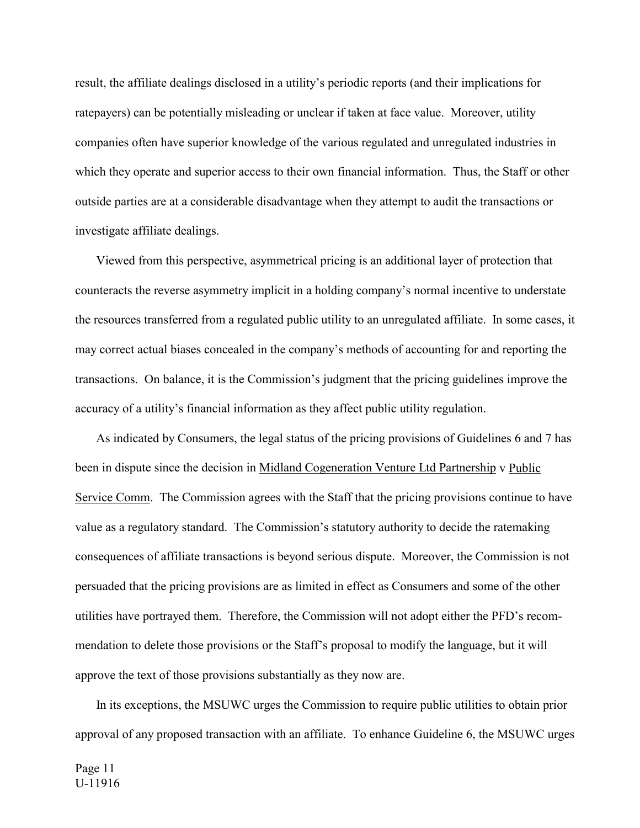result, the affiliate dealings disclosed in a utility's periodic reports (and their implications for ratepayers) can be potentially misleading or unclear if taken at face value. Moreover, utility companies often have superior knowledge of the various regulated and unregulated industries in which they operate and superior access to their own financial information. Thus, the Staff or other outside parties are at a considerable disadvantage when they attempt to audit the transactions or investigate affiliate dealings.

Viewed from this perspective, asymmetrical pricing is an additional layer of protection that counteracts the reverse asymmetry implicit in a holding company's normal incentive to understate the resources transferred from a regulated public utility to an unregulated affiliate. In some cases, it may correct actual biases concealed in the company's methods of accounting for and reporting the transactions. On balance, it is the Commission's judgment that the pricing guidelines improve the accuracy of a utility's financial information as they affect public utility regulation.

As indicated by Consumers, the legal status of the pricing provisions of Guidelines 6 and 7 has been in dispute since the decision in Midland Cogeneration Venture Ltd Partnership v Public Service Comm. The Commission agrees with the Staff that the pricing provisions continue to have value as a regulatory standard. The Commission's statutory authority to decide the ratemaking consequences of affiliate transactions is beyond serious dispute. Moreover, the Commission is not persuaded that the pricing provisions are as limited in effect as Consumers and some of the other utilities have portrayed them. Therefore, the Commission will not adopt either the PFD's recommendation to delete those provisions or the Staff's proposal to modify the language, but it will approve the text of those provisions substantially as they now are.

In its exceptions, the MSUWC urges the Commission to require public utilities to obtain prior approval of any proposed transaction with an affiliate. To enhance Guideline 6, the MSUWC urges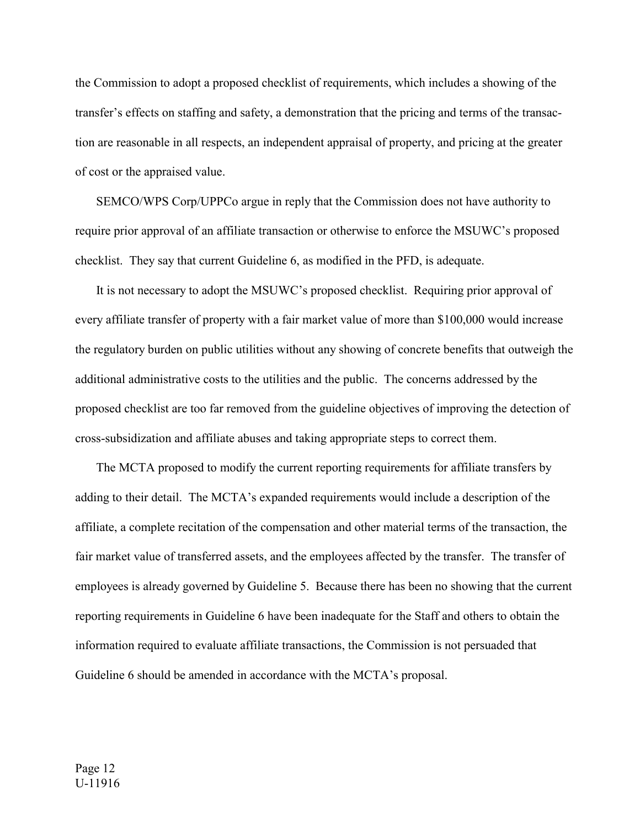the Commission to adopt a proposed checklist of requirements, which includes a showing of the transfer's effects on staffing and safety, a demonstration that the pricing and terms of the transaction are reasonable in all respects, an independent appraisal of property, and pricing at the greater of cost or the appraised value.

SEMCO/WPS Corp/UPPCo argue in reply that the Commission does not have authority to require prior approval of an affiliate transaction or otherwise to enforce the MSUWC's proposed checklist. They say that current Guideline 6, as modified in the PFD, is adequate.

It is not necessary to adopt the MSUWC's proposed checklist. Requiring prior approval of every affiliate transfer of property with a fair market value of more than \$100,000 would increase the regulatory burden on public utilities without any showing of concrete benefits that outweigh the additional administrative costs to the utilities and the public. The concerns addressed by the proposed checklist are too far removed from the guideline objectives of improving the detection of cross-subsidization and affiliate abuses and taking appropriate steps to correct them.

The MCTA proposed to modify the current reporting requirements for affiliate transfers by adding to their detail. The MCTA's expanded requirements would include a description of the affiliate, a complete recitation of the compensation and other material terms of the transaction, the fair market value of transferred assets, and the employees affected by the transfer. The transfer of employees is already governed by Guideline 5. Because there has been no showing that the current reporting requirements in Guideline 6 have been inadequate for the Staff and others to obtain the information required to evaluate affiliate transactions, the Commission is not persuaded that Guideline 6 should be amended in accordance with the MCTA's proposal.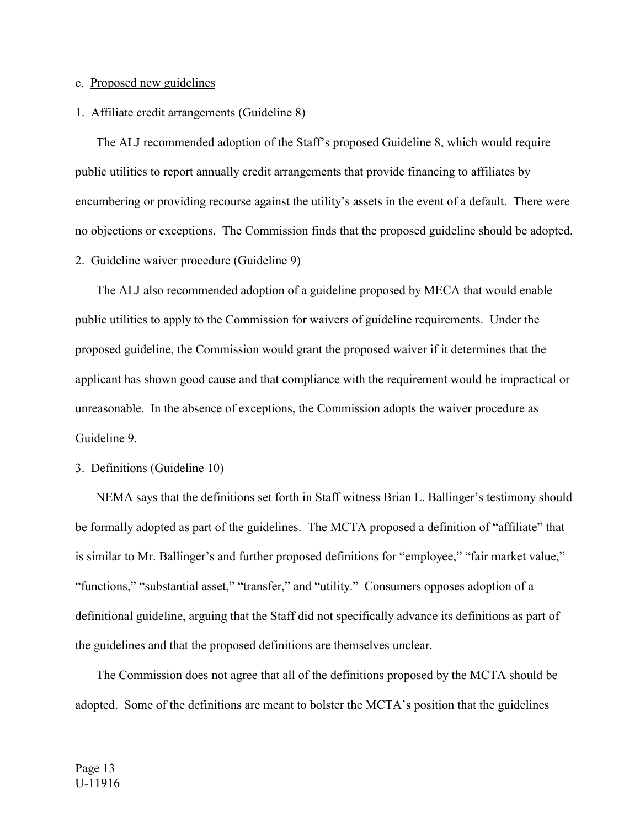## e. Proposed new guidelines

### 1. Affiliate credit arrangements (Guideline 8)

The ALJ recommended adoption of the Staff's proposed Guideline 8, which would require public utilities to report annually credit arrangements that provide financing to affiliates by encumbering or providing recourse against the utility's assets in the event of a default. There were no objections or exceptions. The Commission finds that the proposed guideline should be adopted. 2. Guideline waiver procedure (Guideline 9)

The ALJ also recommended adoption of a guideline proposed by MECA that would enable public utilities to apply to the Commission for waivers of guideline requirements. Under the proposed guideline, the Commission would grant the proposed waiver if it determines that the applicant has shown good cause and that compliance with the requirement would be impractical or unreasonable. In the absence of exceptions, the Commission adopts the waiver procedure as Guideline 9.

3. Definitions (Guideline 10)

NEMA says that the definitions set forth in Staff witness Brian L. Ballinger's testimony should be formally adopted as part of the guidelines. The MCTA proposed a definition of "affiliate" that is similar to Mr. Ballinger's and further proposed definitions for "employee," "fair market value," "functions," "substantial asset," "transfer," and "utility." Consumers opposes adoption of a definitional guideline, arguing that the Staff did not specifically advance its definitions as part of the guidelines and that the proposed definitions are themselves unclear.

The Commission does not agree that all of the definitions proposed by the MCTA should be adopted. Some of the definitions are meant to bolster the MCTA's position that the guidelines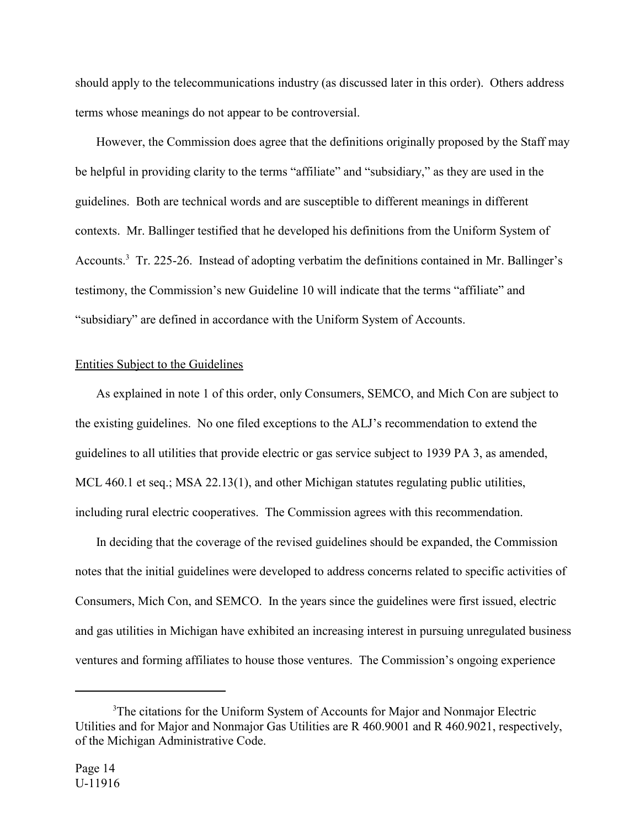should apply to the telecommunications industry (as discussed later in this order). Others address terms whose meanings do not appear to be controversial.

However, the Commission does agree that the definitions originally proposed by the Staff may be helpful in providing clarity to the terms "affiliate" and "subsidiary," as they are used in the guidelines. Both are technical words and are susceptible to different meanings in different contexts. Mr. Ballinger testified that he developed his definitions from the Uniform System of Accounts.<sup>3</sup> Tr. 225-26. Instead of adopting verbatim the definitions contained in Mr. Ballinger's testimony, the Commission's new Guideline 10 will indicate that the terms "affiliate" and "subsidiary" are defined in accordance with the Uniform System of Accounts.

## Entities Subject to the Guidelines

As explained in note 1 of this order, only Consumers, SEMCO, and Mich Con are subject to the existing guidelines. No one filed exceptions to the ALJ's recommendation to extend the guidelines to all utilities that provide electric or gas service subject to 1939 PA 3, as amended, MCL 460.1 et seq.; MSA 22.13(1), and other Michigan statutes regulating public utilities, including rural electric cooperatives. The Commission agrees with this recommendation.

In deciding that the coverage of the revised guidelines should be expanded, the Commission notes that the initial guidelines were developed to address concerns related to specific activities of Consumers, Mich Con, and SEMCO. In the years since the guidelines were first issued, electric and gas utilities in Michigan have exhibited an increasing interest in pursuing unregulated business ventures and forming affiliates to house those ventures. The Commission's ongoing experience

<sup>&</sup>lt;sup>3</sup>The citations for the Uniform System of Accounts for Major and Nonmajor Electric Utilities and for Major and Nonmajor Gas Utilities are R 460.9001 and R 460.9021, respectively, of the Michigan Administrative Code.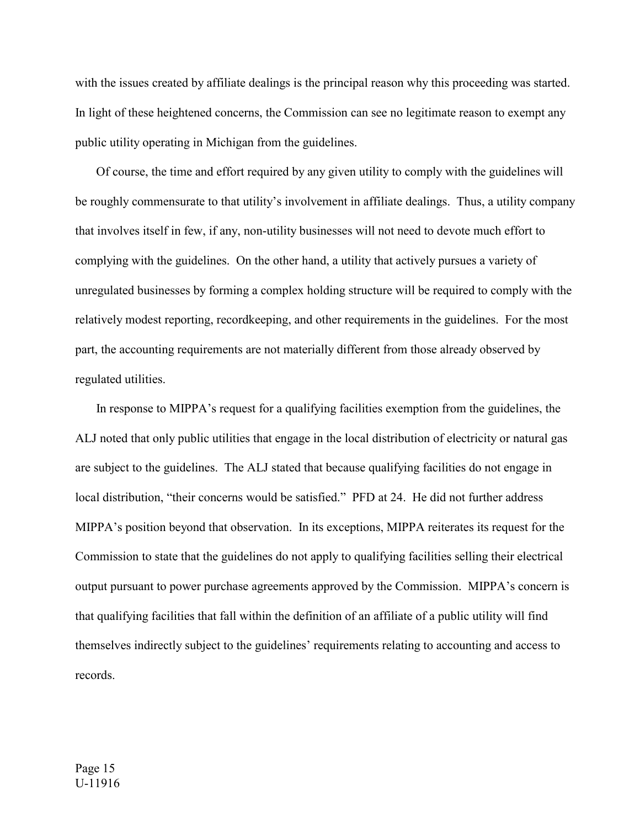with the issues created by affiliate dealings is the principal reason why this proceeding was started. In light of these heightened concerns, the Commission can see no legitimate reason to exempt any public utility operating in Michigan from the guidelines.

Of course, the time and effort required by any given utility to comply with the guidelines will be roughly commensurate to that utility's involvement in affiliate dealings. Thus, a utility company that involves itself in few, if any, non-utility businesses will not need to devote much effort to complying with the guidelines. On the other hand, a utility that actively pursues a variety of unregulated businesses by forming a complex holding structure will be required to comply with the relatively modest reporting, recordkeeping, and other requirements in the guidelines. For the most part, the accounting requirements are not materially different from those already observed by regulated utilities.

In response to MIPPA's request for a qualifying facilities exemption from the guidelines, the ALJ noted that only public utilities that engage in the local distribution of electricity or natural gas are subject to the guidelines. The ALJ stated that because qualifying facilities do not engage in local distribution, "their concerns would be satisfied." PFD at 24. He did not further address MIPPA's position beyond that observation. In its exceptions, MIPPA reiterates its request for the Commission to state that the guidelines do not apply to qualifying facilities selling their electrical output pursuant to power purchase agreements approved by the Commission. MIPPA's concern is that qualifying facilities that fall within the definition of an affiliate of a public utility will find themselves indirectly subject to the guidelines' requirements relating to accounting and access to records.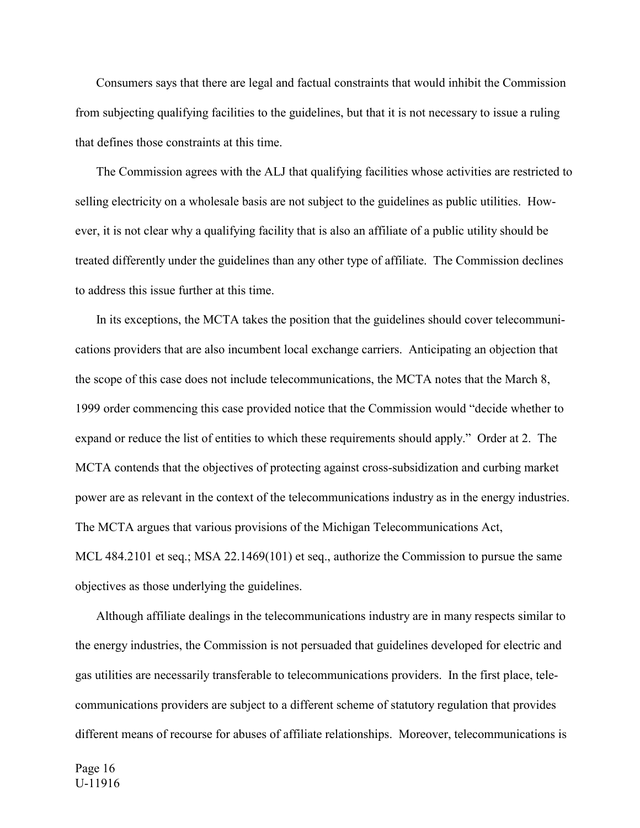Consumers says that there are legal and factual constraints that would inhibit the Commission from subjecting qualifying facilities to the guidelines, but that it is not necessary to issue a ruling that defines those constraints at this time.

The Commission agrees with the ALJ that qualifying facilities whose activities are restricted to selling electricity on a wholesale basis are not subject to the guidelines as public utilities. However, it is not clear why a qualifying facility that is also an affiliate of a public utility should be treated differently under the guidelines than any other type of affiliate. The Commission declines to address this issue further at this time.

In its exceptions, the MCTA takes the position that the guidelines should cover telecommunications providers that are also incumbent local exchange carriers. Anticipating an objection that the scope of this case does not include telecommunications, the MCTA notes that the March 8, 1999 order commencing this case provided notice that the Commission would "decide whether to expand or reduce the list of entities to which these requirements should apply." Order at 2. The MCTA contends that the objectives of protecting against cross-subsidization and curbing market power are as relevant in the context of the telecommunications industry as in the energy industries. The MCTA argues that various provisions of the Michigan Telecommunications Act, MCL 484.2101 et seq.; MSA 22.1469(101) et seq., authorize the Commission to pursue the same objectives as those underlying the guidelines.

Although affiliate dealings in the telecommunications industry are in many respects similar to the energy industries, the Commission is not persuaded that guidelines developed for electric and gas utilities are necessarily transferable to telecommunications providers. In the first place, telecommunications providers are subject to a different scheme of statutory regulation that provides different means of recourse for abuses of affiliate relationships. Moreover, telecommunications is

Page 16 U-11916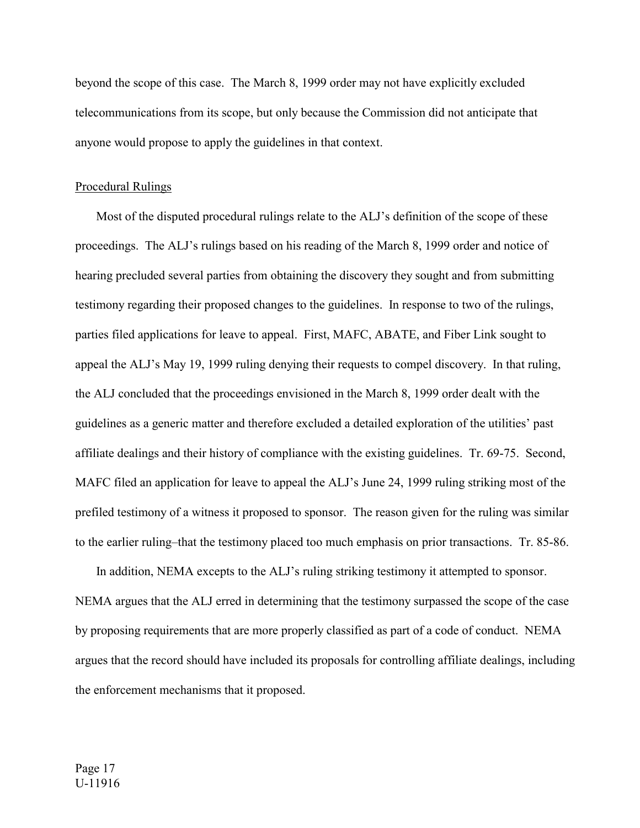beyond the scope of this case. The March 8, 1999 order may not have explicitly excluded telecommunications from its scope, but only because the Commission did not anticipate that anyone would propose to apply the guidelines in that context.

#### Procedural Rulings

Most of the disputed procedural rulings relate to the ALJ's definition of the scope of these proceedings. The ALJ's rulings based on his reading of the March 8, 1999 order and notice of hearing precluded several parties from obtaining the discovery they sought and from submitting testimony regarding their proposed changes to the guidelines. In response to two of the rulings, parties filed applications for leave to appeal. First, MAFC, ABATE, and Fiber Link sought to appeal the ALJ's May 19, 1999 ruling denying their requests to compel discovery. In that ruling, the ALJ concluded that the proceedings envisioned in the March 8, 1999 order dealt with the guidelines as a generic matter and therefore excluded a detailed exploration of the utilities' past affiliate dealings and their history of compliance with the existing guidelines. Tr. 69-75. Second, MAFC filed an application for leave to appeal the ALJ's June 24, 1999 ruling striking most of the prefiled testimony of a witness it proposed to sponsor. The reason given for the ruling was similar to the earlier ruling–that the testimony placed too much emphasis on prior transactions. Tr. 85-86.

In addition, NEMA excepts to the ALJ's ruling striking testimony it attempted to sponsor. NEMA argues that the ALJ erred in determining that the testimony surpassed the scope of the case by proposing requirements that are more properly classified as part of a code of conduct. NEMA argues that the record should have included its proposals for controlling affiliate dealings, including the enforcement mechanisms that it proposed.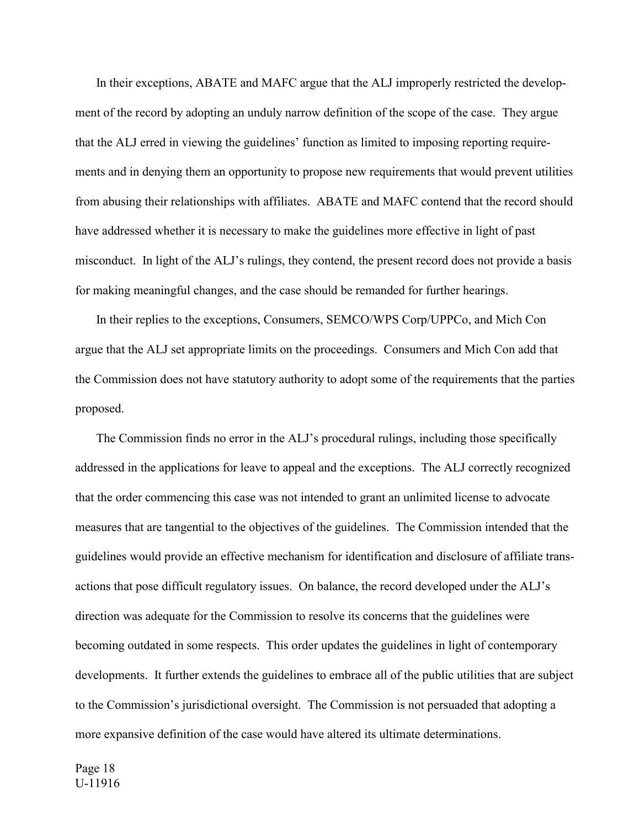In their exceptions, ABATE and MAFC argue that the ALJ improperly restricted the development of the record by adopting an unduly narrow definition of the scope of the case. They argue that the ALJ erred in viewing the guidelines' function as limited to imposing reporting requirements and in denying them an opportunity to propose new requirements that would prevent utilities from abusing their relationships with affiliates. ABATE and MAFC contend that the record should have addressed whether it is necessary to make the guidelines more effective in light of past misconduct. In light of the ALJ's rulings, they contend, the present record does not provide a basis for making meaningful changes, and the case should be remanded for further hearings.

In their replies to the exceptions, Consumers, SEMCO/WPS Corp/UPPCo, and Mich Con argue that the ALJ set appropriate limits on the proceedings. Consumers and Mich Con add that the Commission does not have statutory authority to adopt some of the requirements that the parties proposed.

The Commission finds no error in the ALJ's procedural rulings, including those specifically addressed in the applications for leave to appeal and the exceptions. The ALJ correctly recognized that the order commencing this case was not intended to grant an unlimited license to advocate measures that are tangential to the objectives of the guidelines. The Commission intended that the guidelines would provide an effective mechanism for identification and disclosure of affiliate transactions that pose difficult regulatory issues. On balance, the record developed under the ALJ's direction was adequate for the Commission to resolve its concerns that the guidelines were becoming outdated in some respects. This order updates the guidelines in light of contemporary developments. It further extends the guidelines to embrace all of the public utilities that are subject to the Commission's jurisdictional oversight. The Commission is not persuaded that adopting a more expansive definition of the case would have altered its ultimate determinations.

Page 18 U-11916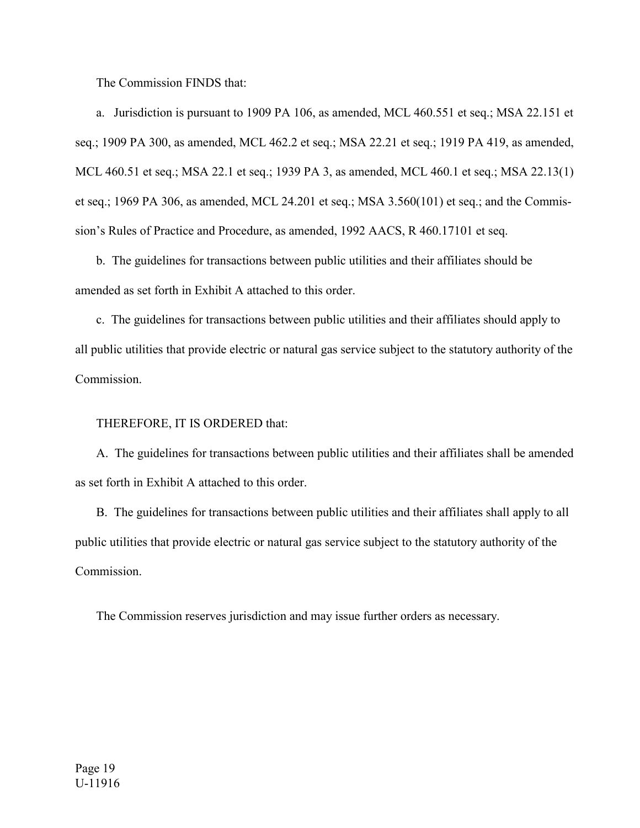The Commission FINDS that:

a. Jurisdiction is pursuant to 1909 PA 106, as amended, MCL 460.551 et seq.; MSA 22.151 et seq.; 1909 PA 300, as amended, MCL 462.2 et seq.; MSA 22.21 et seq.; 1919 PA 419, as amended, MCL 460.51 et seq.; MSA 22.1 et seq.; 1939 PA 3, as amended, MCL 460.1 et seq.; MSA 22.13(1) et seq.; 1969 PA 306, as amended, MCL 24.201 et seq.; MSA 3.560(101) et seq.; and the Commission's Rules of Practice and Procedure, as amended, 1992 AACS, R 460.17101 et seq.

 b. The guidelines for transactions between public utilities and their affiliates should be amended as set forth in Exhibit A attached to this order.

c. The guidelines for transactions between public utilities and their affiliates should apply to all public utilities that provide electric or natural gas service subject to the statutory authority of the Commission.

# THEREFORE, IT IS ORDERED that:

A. The guidelines for transactions between public utilities and their affiliates shall be amended as set forth in Exhibit A attached to this order.

B. The guidelines for transactions between public utilities and their affiliates shall apply to all public utilities that provide electric or natural gas service subject to the statutory authority of the **Commission** 

The Commission reserves jurisdiction and may issue further orders as necessary.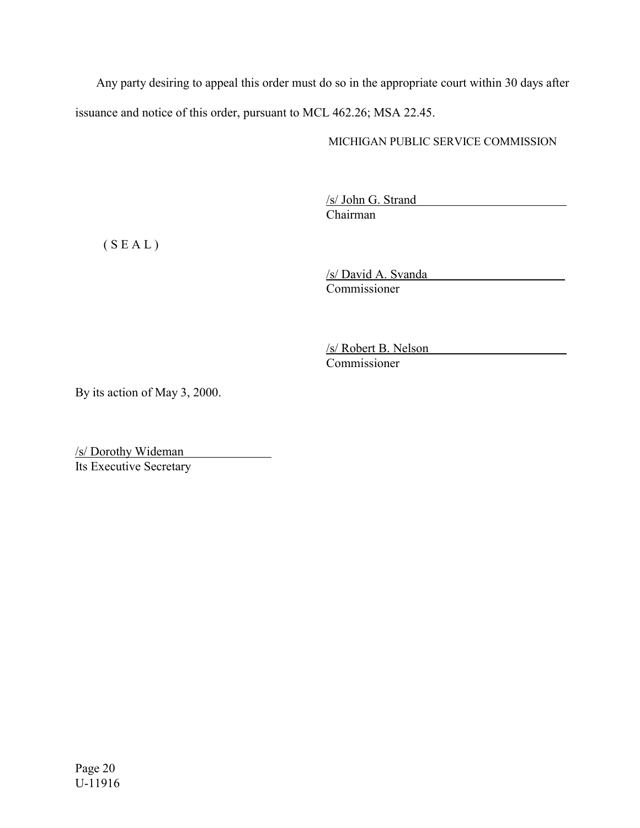Any party desiring to appeal this order must do so in the appropriate court within 30 days after issuance and notice of this order, pursuant to MCL 462.26; MSA 22.45.

# MICHIGAN PUBLIC SERVICE COMMISSION

/s/ John G. Strand Chairman

 $(S E A L)$ 

/s/ David A. Svanda Commissioner

/s/ Robert B. Nelson Commissioner

By its action of May 3, 2000.

/s/ Dorothy Wideman Its Executive Secretary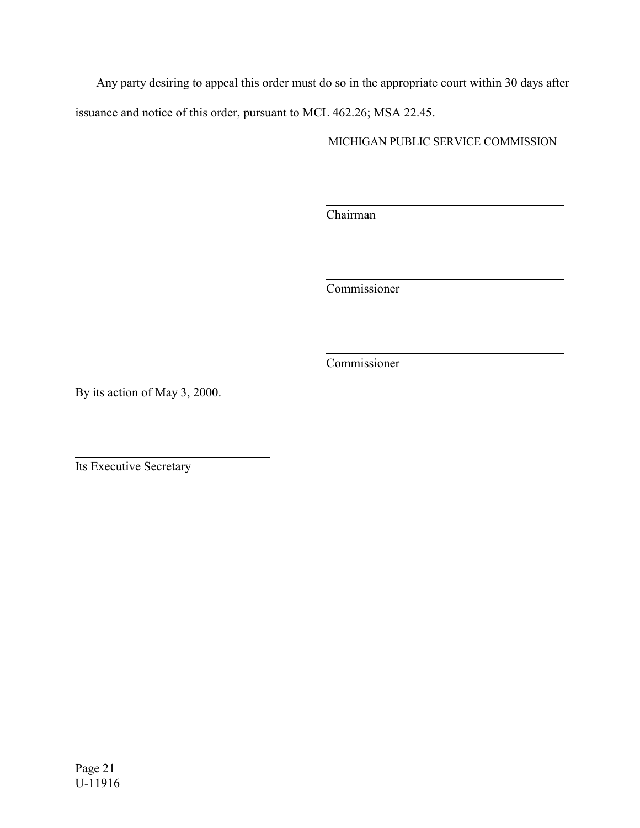Any party desiring to appeal this order must do so in the appropriate court within 30 days after issuance and notice of this order, pursuant to MCL 462.26; MSA 22.45.

 $\overline{a}$ 

 $\overline{a}$ 

 $\overline{a}$ 

MICHIGAN PUBLIC SERVICE COMMISSION

Chairman

Commissioner

Commissioner

By its action of May 3, 2000.

Its Executive Secretary

 $\overline{a}$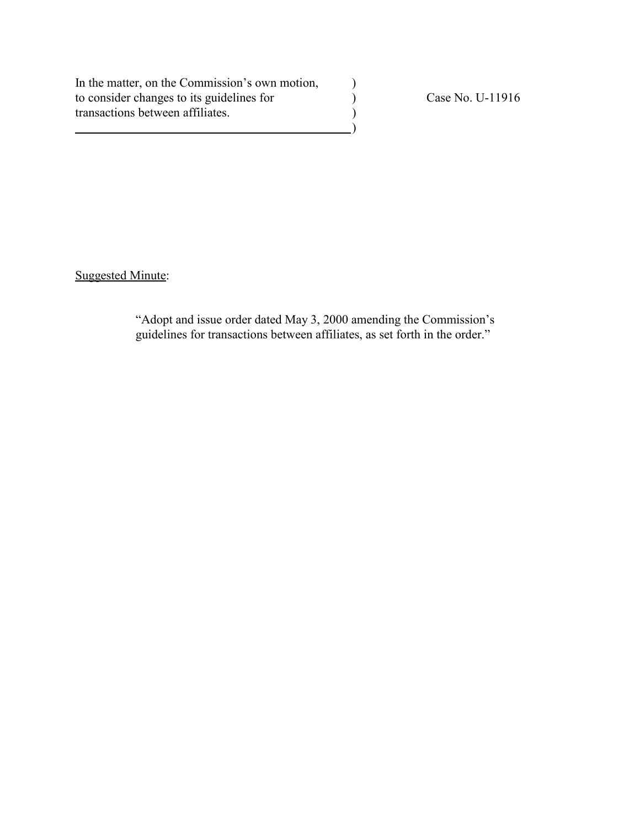In the matter, on the Commission's own motion, to consider changes to its guidelines for <br>  $\left(\frac{1}{2}\right)$  Case No. U-11916<br>  $\left(\frac{1}{2}\right)$ transactions between affiliates. )

 $\qquad \qquad \qquad \qquad \qquad$ 

Suggested Minute:

"Adopt and issue order dated May 3, 2000 amending the Commission's guidelines for transactions between affiliates, as set forth in the order."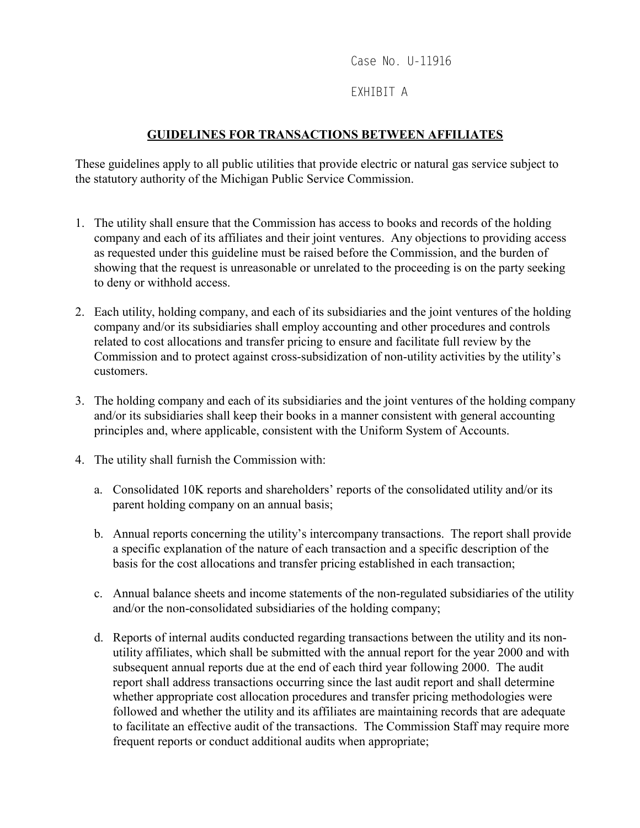Case No. U-11916

# EXHIBIT A

# **GUIDELINES FOR TRANSACTIONS BETWEEN AFFILIATES**

These guidelines apply to all public utilities that provide electric or natural gas service subject to the statutory authority of the Michigan Public Service Commission.

- 1. The utility shall ensure that the Commission has access to books and records of the holding company and each of its affiliates and their joint ventures. Any objections to providing access as requested under this guideline must be raised before the Commission, and the burden of showing that the request is unreasonable or unrelated to the proceeding is on the party seeking to deny or withhold access.
- 2. Each utility, holding company, and each of its subsidiaries and the joint ventures of the holding company and/or its subsidiaries shall employ accounting and other procedures and controls related to cost allocations and transfer pricing to ensure and facilitate full review by the Commission and to protect against cross-subsidization of non-utility activities by the utility's customers.
- 3. The holding company and each of its subsidiaries and the joint ventures of the holding company and/or its subsidiaries shall keep their books in a manner consistent with general accounting principles and, where applicable, consistent with the Uniform System of Accounts.
- 4. The utility shall furnish the Commission with:
	- a. Consolidated 10K reports and shareholders' reports of the consolidated utility and/or its parent holding company on an annual basis;
	- b. Annual reports concerning the utility's intercompany transactions. The report shall provide a specific explanation of the nature of each transaction and a specific description of the basis for the cost allocations and transfer pricing established in each transaction;
	- c. Annual balance sheets and income statements of the non-regulated subsidiaries of the utility and/or the non-consolidated subsidiaries of the holding company;
	- d. Reports of internal audits conducted regarding transactions between the utility and its nonutility affiliates, which shall be submitted with the annual report for the year 2000 and with subsequent annual reports due at the end of each third year following 2000. The audit report shall address transactions occurring since the last audit report and shall determine whether appropriate cost allocation procedures and transfer pricing methodologies were followed and whether the utility and its affiliates are maintaining records that are adequate to facilitate an effective audit of the transactions. The Commission Staff may require more frequent reports or conduct additional audits when appropriate;